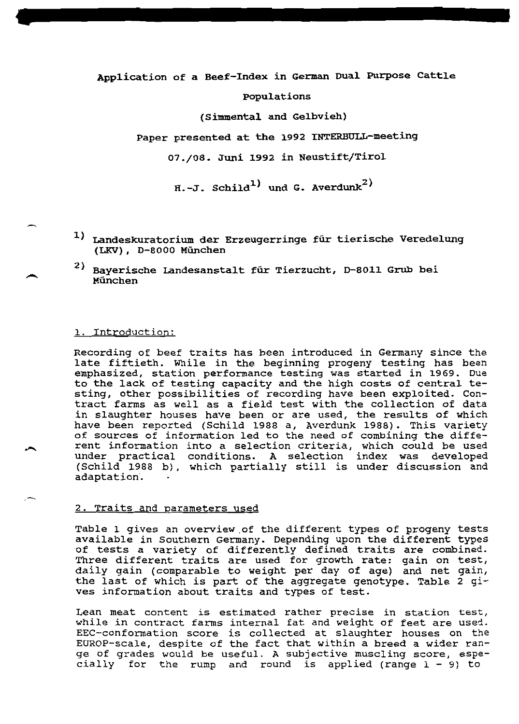# Application of a Beef-Index in German Dual Purpose Cattle

### Populations

(Simmental and Gelbvieh)

Paper presented at the 1992 INTERBULL-meeting

07./08. Juni 1992 in Neustift/Tirol

 $H.-J.$  Schild<sup>1)</sup> und G. Averdunk<sup>2)</sup>

- 1) Landeskuratorium der Erzeugerringe für tierische Veredelung (LKV), D-8000 München
- 2) Bayerische Landesanstalt für Tierzucht, D-8011 Grub bei München

### 1. Introduction:

Recording of beef traits has been introduced in Germany since the late fiftieth. While in the beginning progeny testing has been emphasized, station performance testing was started in 1969. Due to the lack of testing capacity and the high costs of central testing, other possibilities of recording have been exploited. Contract farms as well as a field test with the collection of data in slaughter houses have been or are used, the results of which have been reported (Schild 1988 a, Averdunk 1988). This variety of sources of information led to the need of combining the different information into a selection criteria, which could be used under practical conditions. A selection index was developed (Schild 1988 b), which partially still is under discussion and adaptation.

### 2. Traits and parameters used

Table 1 gives an overview of the different types of progeny tests available in Southern Germany. Depending upon the different types of tests a variety of differently defined traits are combined.<br>Three different traits are used for growth rate: gain on test, daily gain (comparable to weight per day of age) and net gain, the last of which is part of the aggregate genotype. Table 2 gives information about traits and types of test.

Lean meat content is estimated rather precise in station test, while in contract farms internal fat and weight of feet are used. EEC-conformation score is collected at slaughter houses on the EUROP-scale, despite of the fact that within a breed a wider range of grades would be useful. A subjective muscling score, especially for the rump and round is applied (range  $1 - 9$ ) to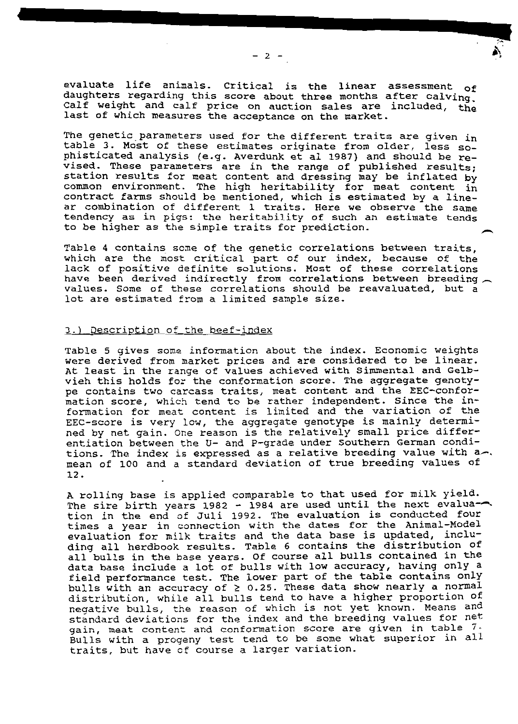evaluate life animals. Critical is the linear assessment of daughters regarding this score about three months after calving. Calf weight and calf price on auction sales are included, the last of which measures the acceptance on the market.

The genetic parameters used for the different traits are given in table 3. Most of these estimates originate from older, less sophisticated analysis (e.g. Averdunk et al 1987) and should be revised. These parameters are in the range of published results; station results for meat content and dressing may be inflated by common environment. The high heritability for meat content in contract farms should be mentioned, which is estimated by a linear combination of different 1 traits. Here we observe the same tendency as in pigs: the heritability of such an estimate tends to be higher as the simple traits for prediction.

Table 4 contains some of the genetic correlations between traits, which are the most critical part of our index, because of the lack of positive definite solutions. Most of these correlations have been derived indirectly from correlations between breeding values. Some of these correlations should be reavaluated, but a lot are estimated from a limited sample size.

# 3.) Description of the beef-index

Table 5 gives some information about the index. Economic weights were derived from market prices and are considered to be linear. At least in the range of values achieved with Simmental and Gelbvieh this holds for the conformation score. The aggregate genotype contains two carcass traits, meat content and the EEC-confor-<br>mation score, which tend to be rather independent. Since the in-<br>formation for meat content is limited and the variation of the EEC-score is very low, the aggregate genotype is mainly determined by net gain. One reason is the relatively small price differentiation between the U- and P-grade under Southern German conditions. The index is expressed as a relative breeding value with a. mean of 100 and a standard deviation of true breeding values of 12.

A rolling base is applied comparable to that used for milk yield. The sire birth years 1982 - 1984 are used until the next evaluation in the end of Juli 1992. The evaluation is conducted four times a year in connection with the dates for the Animal-Model evaluation for milk traits and the data base is updated, including all herdbook results. Table 6 contains the distribution of all bulls in the base years. Of course all bulls contained in the data base include a lot of bulls with low accuracy, having only a field performance test. The lower part of the table contains only bulls with an accuracy of  $\geq$  0.25. These data show nearly a normal distribution, while all bulls tend to have a higher proportion of negative bulls, the reason of which is not yet known. Means and standard deviations for the index and the breeding values for net gain, meat content and conformation score are given in table 7. Bulls with a progeny test tend to be some what superior in all traits, but have of course a larger variation.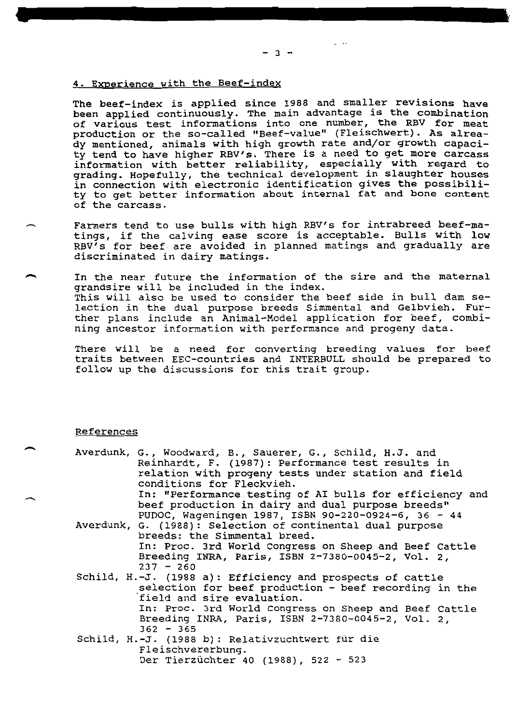### 4. Experience with the Beef-index

The beef-index is applied since 1988 and smaller revisions have<br>been applied continuously. The main advantage is the combination<br>of various test informations into one number, the RBV for meat<br>production or the so-called "B

- Farmers tend to use bulls with high RBV's for intrabreed beef-ma-<br>tings, if the calving ease score is acceptable. Bulls with low<br>RBV's for beef are avoided in planned matings and gradually are<br>discriminated in dairy mating
- In the near future the information of the sire and the maternal<br>grandsire will be included in the index.<br>This will also be used to consider the beef side in bull dam se-<br>lection in the dual purpose breeds Simmental and Gel

There will be a need for converting breeding values for beef traits between EEC-countries and INTERBULL should be prepared to follow up the discussions for this trait group.

### References

| Averdunk, G., Woodward, B., Sauerer, G., Schild, H.J. and<br>Reinhardt, F. (1987): Performance test results in<br>relation with progeny tests under station and field<br>conditions for Fleckvieh. |
|----------------------------------------------------------------------------------------------------------------------------------------------------------------------------------------------------|
| In: "Performance testing of AI bulls for efficiency and                                                                                                                                            |
| beef production in dairy and dual purpose breeds"                                                                                                                                                  |
| PUDOC, Waqeningen 1987, ISBN 90-220-0924-6, 36 - 44                                                                                                                                                |
| Averdunk, G. (1988): Selection of continental dual purpose                                                                                                                                         |
| breeds: the Simmental breed.                                                                                                                                                                       |
| In: Proc. 3rd World Congress on Sheep and Beef Cattle                                                                                                                                              |
| Breeding INRA, Paris, ISBN 2-7380-0045-2, Vol. 2,                                                                                                                                                  |
| $237 - 260$                                                                                                                                                                                        |
| Schild, H.-J. (1988 a): Efficiency and prospects of cattle                                                                                                                                         |
| selection for beef production - beef recording in the                                                                                                                                              |
| field and sire evaluation.                                                                                                                                                                         |
| In: Proc. 3rd World Congress on Sheep and Beef Cattle                                                                                                                                              |
| Breeding INRA, Paris, ISBN 2-7380-0045-2, Vol. 2,                                                                                                                                                  |
| $362 - 365$                                                                                                                                                                                        |
| Schild, H.-J. (1988 b): Relativzuchtwert für die                                                                                                                                                   |
| Fleischvererbung.                                                                                                                                                                                  |
| Der Tierzüchter 40 (1988), 522 - 523                                                                                                                                                               |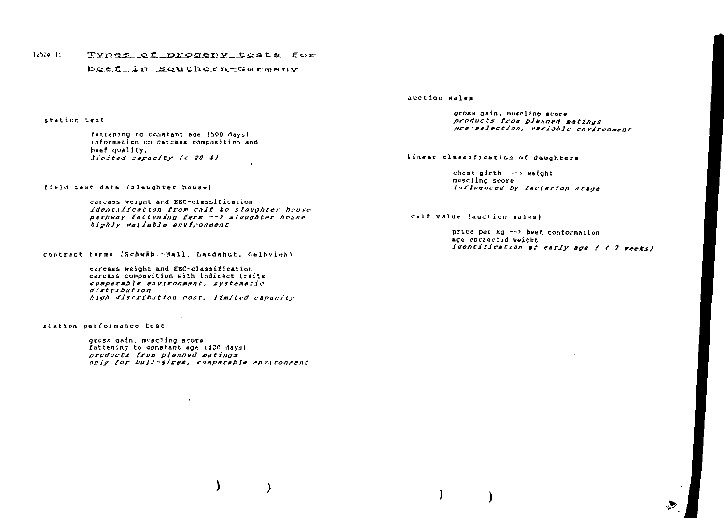#### Types of progeny tests for Table 1:

### beef in Southern-Germany

#### station test

fattening to constant age (500 days) information on carcass composition and beef quality. limited capacity (< 20 %)

field test data (slaughter house)

carcass weight and EEC-classification identification from calf to slaughter house pathway fattening farm --> slaughter house highly variable environment

contract farms (Schwäb.-Hall, Landshut, Gelbvieh)

carcass weight and EEC-classification carcass composition with indirect traits comparable environment, systematic distribution high distribution cost, limited capacity

station performance test

gross gain, muscling score fattening to constant age (420 days) products from planned matings only for bull-sires, comparable environment

 $\mathbf{r}$ 

#### auction sales

gross gain, muscling score products from planned matings pre-selection, variable environment

### linear classification of daughters

chest  $airth \rightarrow\$  weight muscling score influenced by lactation stage

calf value (auction sales)

price per  $kg \rightarrow$  beef conformation age corrected weight identification at early age ( < 7 weeks)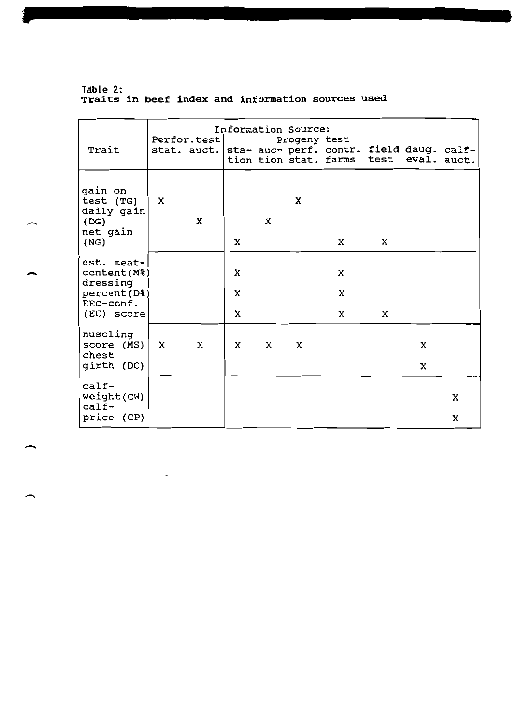Table 2:<br>Traits in beef index and information sources used

 $\mathbb{Z}^2$ 

|                                        | Information Source: |             |   |             |              |                                                                                 |   |                  |   |
|----------------------------------------|---------------------|-------------|---|-------------|--------------|---------------------------------------------------------------------------------|---|------------------|---|
| Trait                                  |                     | Perfor.test |   |             | Progeny test | stat. auct.   sta- auc- perf. contr. field daug. calf-<br>tion tion stat. farms |   | test eval. auct. |   |
|                                        |                     |             |   |             |              |                                                                                 |   |                  |   |
| gain on<br>test (TG)<br>daily gain     | X                   |             |   |             | X            |                                                                                 |   |                  |   |
| (DG)                                   |                     | X           |   | $\mathbf x$ |              |                                                                                 |   |                  |   |
| net gain<br>(NG)                       |                     |             | x |             |              | X                                                                               | x |                  |   |
| est. meat-<br>content (M%)<br>dressing |                     |             | x |             |              | x                                                                               |   |                  |   |
| percent (D%)                           |                     |             | X |             |              | X                                                                               |   |                  |   |
| EEC-conf.<br>(EC) score                |                     |             | X |             |              | X                                                                               | X |                  |   |
| muscling<br>score (MS)<br>chest        | $\mathbf{x}$        | X           | x | X           | x            |                                                                                 |   | x                |   |
| girth (DC)                             |                     |             |   |             |              |                                                                                 |   | X                |   |
| $calf$ -<br>weight (CW)<br>$calf$ -    |                     |             |   |             |              |                                                                                 |   |                  | X |
| price (CP)                             |                     |             |   |             |              |                                                                                 |   |                  | X |

 $\overline{\phantom{0}}$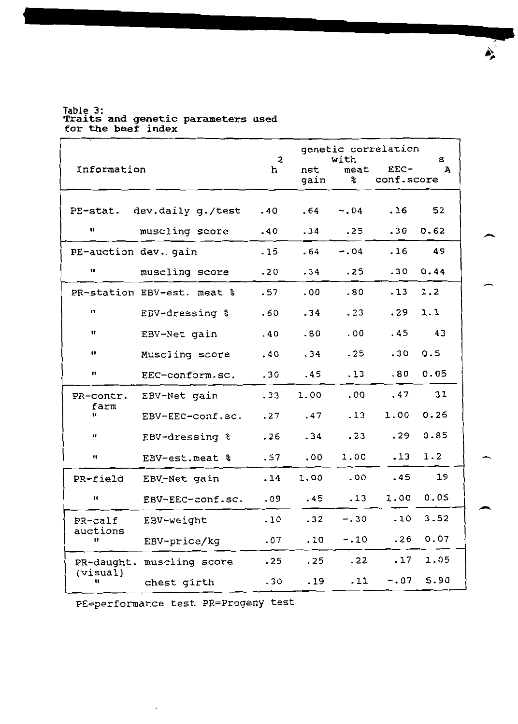Table 3:<br>Traits and genetic parameters used<br>for the beef index

|                      |                            | $\overline{2}$ |             | genetic correlation<br>with |                      |                   |  |
|----------------------|----------------------------|----------------|-------------|-----------------------------|----------------------|-------------------|--|
| Information          |                            | h              | net<br>gain | meat<br>န္<br>၁             | $EEC-$<br>conf.score | s<br>$\mathbf{A}$ |  |
|                      | PE-stat. dev.daily g./test | .40            | .64         | $-0.04$                     | .16                  | 52                |  |
| u                    |                            |                |             |                             |                      |                   |  |
|                      | muscling score             | .40            | .34         | .25                         | .30                  | 0.62              |  |
| PE-auction dev. gain |                            | .15            | .64         | $-0.4$                      | .16                  | 49                |  |
| 11                   | muscling score             | .20            | .34         | .25                         | .30                  | 0.44              |  |
|                      | PR-station EBV-est. meat % | .57            | .00.        | .80                         | .13                  | 1.2               |  |
| $\mathbf{u}$         | EBV-dressing %             | .60            | .34         | .23                         | .29                  | 1.1               |  |
| $\mathbf{u}$         | EBV-Net gain               | .40            | .80         | .00                         | .45                  | 43                |  |
| 11                   | Muscling score             | .40            | .34         | .25                         | .30                  | 0.5               |  |
| n                    | EEC-conform.sc.            | .30            | .45         | .13                         | .80                  | 0.05              |  |
| PR-contr.            | EBV-Net gain               | .33            | 1.00        | .00                         | .47                  | 31                |  |
| farm<br>Ħ            | EBV-EEC-conf.sc.           | .27            | .47         | .13                         | 1.00                 | 0.25              |  |
| 1t                   | EBV-dressing %             | .26            | .34         | .23                         | .29                  | 0.85              |  |
| 11                   | EBV-est.meat %             | .57            | .00         | 1.00                        | .13                  | 1.2               |  |
| PR-field             | EBV-Net gain               | .14            | 1.00        | .00                         | .45                  | 19                |  |
| 11                   | EBV-EEC-conf.sc.           | .09            | .45         | .13                         | 1.00                 | 0.05              |  |
| PR-calf              | EBV-weight                 | .10            | .32         | $-.30$                      | .10                  | 3.52              |  |
| auctions<br>"        | EBV-price/kg               | .07            | .10         | $-.10$                      | .26                  | 0.07              |  |
| PR-daught.           | muscling score             | .25            | .25         | .22                         | .17                  | 1.05              |  |
| (visual)<br>u        | chest girth                | .30            | .19         | .11                         | $-0.07$              | 5.90              |  |

PE=performance test PR=Progeny test

À.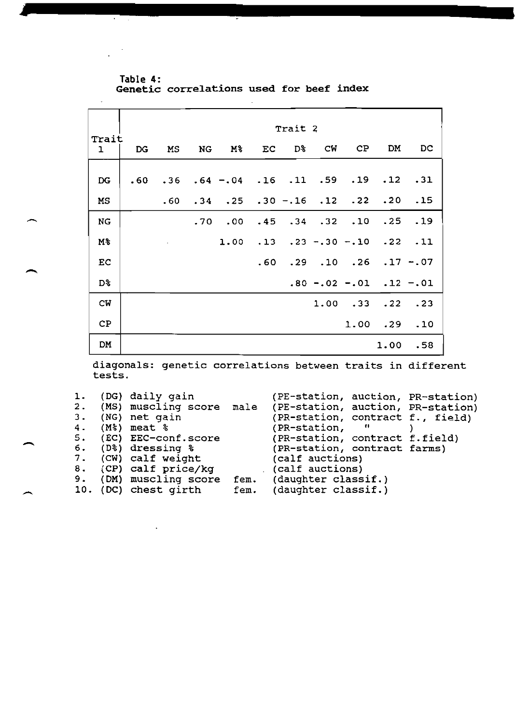Table 4: Genetic correlations used for beef index

 $\mathcal{A}$  $\ddot{\phantom{a}}$ 

|                       | Trait 2 |                          |    |                                                        |     |          |                   |                       |                               |             |
|-----------------------|---------|--------------------------|----|--------------------------------------------------------|-----|----------|-------------------|-----------------------|-------------------------------|-------------|
| Trait<br>$\mathbf{1}$ | DG      | MS                       | NG | M%                                                     |     | EC D& CW |                   | CP                    | DM                            | DC          |
| DG                    | .60     |                          |    | $.36$ $.64$ $-.04$ $.16$ $.11$ $.59$ $.19$ $.12$ $.31$ |     |          |                   |                       |                               |             |
| МS                    |         | .60                      |    | $.34 \t .25$                                           |     |          |                   | $.30-.16$ $.12$ $.22$ |                               | .20.15      |
| <b>NG</b>             |         |                          |    | .70.00                                                 | .45 |          | $.34$ $.32$ $.10$ |                       | .25                           | .19         |
| M%                    |         | $\overline{\phantom{a}}$ |    | 1.00                                                   | .13 |          | $.23 - .30 - .10$ |                       |                               | $.22$ $.11$ |
| EC                    |         |                          |    |                                                        |     |          |                   | .60 .29 .10 .26       |                               | $.17 - .07$ |
| D%                    |         |                          |    |                                                        |     |          |                   |                       | $.80 - .02 - .01$ $.12 - .01$ |             |
| CW                    |         |                          |    |                                                        |     |          |                   | 1.00.33               |                               | .22.3       |
| CP                    |         |                          |    |                                                        |     |          |                   |                       | $1.00$ . $29$ . $10$          |             |
| DM                    |         |                          |    |                                                        |     |          |                   |                       | 1.00                          | .58         |

diagonals: genetic correlations between traits in differen tests .

| $\mathbf{1}$ .<br>3. | (DG) daily gain<br>(NG) net gain<br>4. (M%) meat %<br>5. (EC) EEC-conf.score |      | (PE-station, auction, PR-station)<br>2. (MS) muscling score male (PE-station, auction, PR-station)<br>(PR-station, contract f., field)<br>(PR-station,<br>"<br>(PR-station, contract f.field) |  |
|----------------------|------------------------------------------------------------------------------|------|-----------------------------------------------------------------------------------------------------------------------------------------------------------------------------------------------|--|
|                      | 6. (D%) dressing %<br>7. (CW) calf weight<br>8. (CP) calf price/kg           |      | (PR-station, contract farms)<br>(calf auctions)<br>(calf auctions)                                                                                                                            |  |
|                      | 9. (DM) muscling score<br>10. (DC) chest girth                               | fem. | fem. (daughter classif.)<br>(daughter classif.)                                                                                                                                               |  |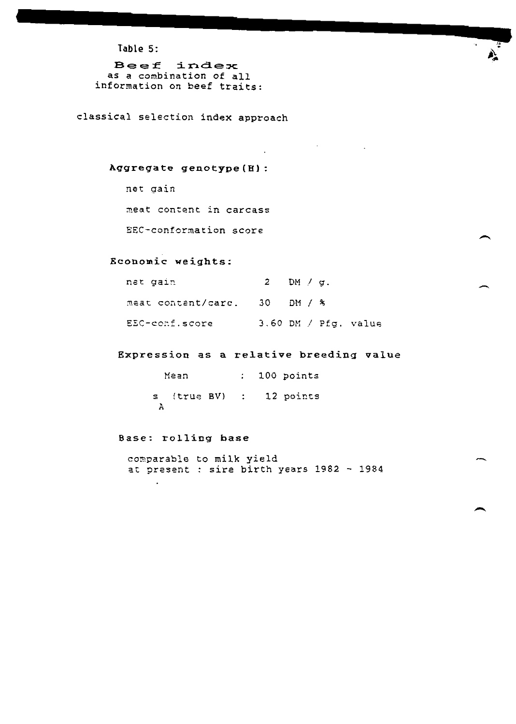Table 5:

Beef index as a combination of all information on beef traits:

classical selection index approach

## Aggregate genotype (H) :

net gain

meat content in carcass

EEC-conformation score

### Economic weights:

| net gain                     | $2$ DM / g. |                        |
|------------------------------|-------------|------------------------|
| meat content/carc. 30 DM / % |             |                        |
| EEC-conf.score               |             | $3.60$ DM / Pfg. value |

Expression as a relative breeding value

Mean : 100 points s (true BV) : 12 points  $\ddot{a}$ 

### Base: rolling base

 $\ddot{\phantom{0}}$ 

comparable to milk yield at present : sire birth years 1982 - 1984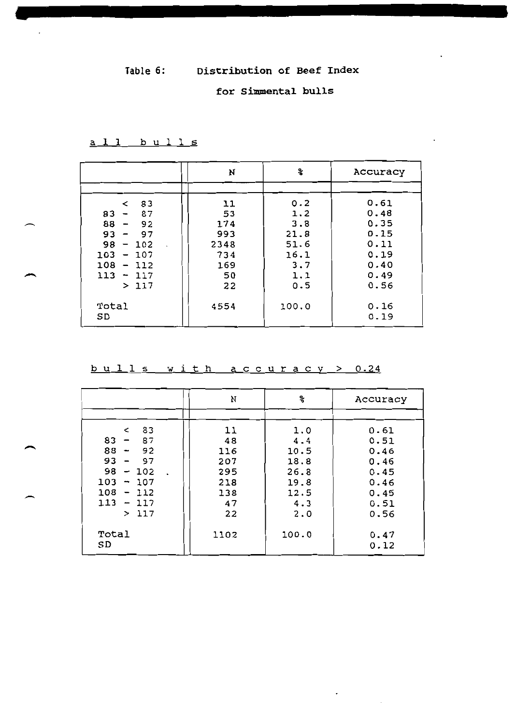# for Simmental bulls

```
all bulls
```

|                                        | N    | ៖     | Accuracy     |
|----------------------------------------|------|-------|--------------|
|                                        |      |       |              |
| 83<br>$\overline{\phantom{a}}$         | 11   | 0.2   | 0.61         |
| 83<br>87<br>$\overline{\phantom{m}}$   | 53   | 1.2   | 0.48         |
| 88<br>92<br>$\overline{\phantom{a}}$   | 174  | 3.8   | 0.35         |
| 93<br>97<br>$\overline{\phantom{m}}$   | 993  | 21.8  | 0.15         |
| 98<br>-102<br>$\overline{\phantom{0}}$ | 2348 | 51.6  | 0.11         |
| 103<br>$-107$                          | 734  | 16.1  | 0.19         |
| 108<br>112<br>$\overline{\phantom{m}}$ | 169  | 3.7   | 0.40         |
| $113 - 117$                            | 50   | 1.1   | 0.49         |
| >117                                   | 22   | 0.5   | 0.56         |
| Total<br>SD                            | 4554 | 100.0 | 0.16<br>0.19 |

bulls with accuracy > 0.24

|                    | N    | ఙ     | Accuracy     |
|--------------------|------|-------|--------------|
|                    |      |       |              |
| 83<br>$\leq$       | 11   | 1.0   | 0.61         |
| $83 -$<br>87       | 48   | 4.4   | 0.51         |
| 88<br>92<br>$\sim$ | 116  | 10.5  | 0.46         |
| $93 -$<br>- 97     | 207  | 18.8  | 0.46         |
| $98 - 102$         | 295  | 26.8  | 0.45         |
| $103 - 107$        | 218  | 19.8  | 0.46         |
| $108 - 112$        | 138  | 12.5  | 0.45         |
| 113<br>$-117$      | 47   | 4.3   | 0.51         |
| >117               | 22   | 2.0   | 0.56         |
| Total<br>SD        | 1102 | 100.0 | 0.47<br>0.12 |

 $\cdot$